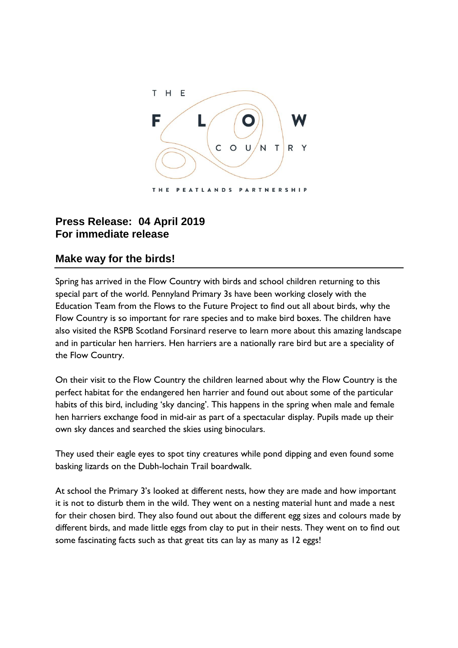

## **Press Release: 04 April 2019 For immediate release**

## **Make way for the birds!**

Spring has arrived in the Flow Country with birds and school children returning to this special part of the world. Pennyland Primary 3s have been working closely with the Education Team from the Flows to the Future Project to find out all about birds, why the Flow Country is so important for rare species and to make bird boxes. The children have also visited the RSPB Scotland Forsinard reserve to learn more about this amazing landscape and in particular hen harriers. Hen harriers are a nationally rare bird but are a speciality of the Flow Country.

On their visit to the Flow Country the children learned about why the Flow Country is the perfect habitat for the endangered hen harrier and found out about some of the particular habits of this bird, including 'sky dancing'. This happens in the spring when male and female hen harriers exchange food in mid-air as part of a spectacular display. Pupils made up their own sky dances and searched the skies using binoculars.

They used their eagle eyes to spot tiny creatures while pond dipping and even found some basking lizards on the Dubh-lochain Trail boardwalk.

At school the Primary 3's looked at different nests, how they are made and how important it is not to disturb them in the wild. They went on a nesting material hunt and made a nest for their chosen bird. They also found out about the different egg sizes and colours made by different birds, and made little eggs from clay to put in their nests. They went on to find out some fascinating facts such as that great tits can lay as many as 12 eggs!